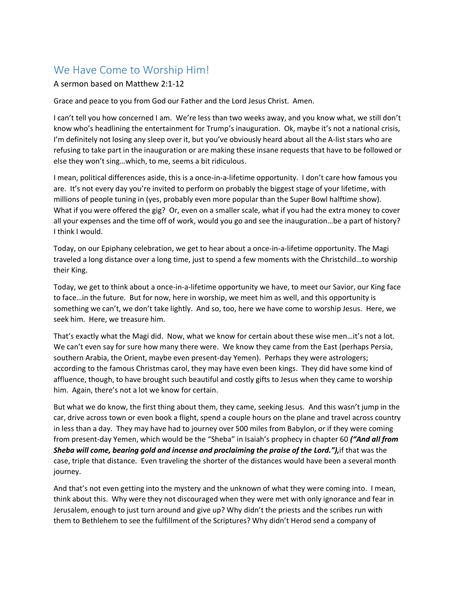## We Have Come to Worship Him!

## A sermon based on Matthew 2:1-12

Grace and peace to you from God our Father and the Lord Jesus Christ. Amen.

I can't tell you how concerned I am. We're less than two weeks away, and you know what, we still don't know who's headlining the entertainment for Trump's inauguration. Ok, maybe it's not a national crisis, I'm definitely not losing any sleep over it, but you've obviously heard about all the A-list stars who are refusing to take part in the inauguration or are making these insane requests that have to be followed or else they won't sing…which, to me, seems a bit ridiculous.

I mean, political differences aside, this is a once-in-a-lifetime opportunity. I don't care how famous you are. It's not every day you're invited to perform on probably the biggest stage of your lifetime, with millions of people tuning in (yes, probably even more popular than the Super Bowl halftime show). What if you were offered the gig? Or, even on a smaller scale, what if you had the extra money to cover all your expenses and the time off of work, would you go and see the inauguration…be a part of history? I think I would.

Today, on our Epiphany celebration, we get to hear about a once-in-a-lifetime opportunity. The Magi traveled a long distance over a long time, just to spend a few moments with the Christchild…to worship their King.

Today, we get to think about a once-in-a-lifetime opportunity we have, to meet our Savior, our King face to face…in the future. But for now, here in worship, we meet him as well, and this opportunity is something we can't, we don't take lightly. And so, too, here we have come to worship Jesus. Here, we seek him. Here, we treasure him.

That's exactly what the Magi did. Now, what we know for certain about these wise men…it's not a lot. We can't even say for sure how many there were. We know they came from the East (perhaps Persia, southern Arabia, the Orient, maybe even present-day Yemen). Perhaps they were astrologers; according to the famous Christmas carol, they may have even been kings. They did have some kind of affluence, though, to have brought such beautiful and costly gifts to Jesus when they came to worship him. Again, there's not a lot we know for certain.

But what we do know, the first thing about them, they came, seeking Jesus. And this wasn't jump in the car, drive across town or even book a flight, spend a couple hours on the plane and travel across country in less than a day. They may have had to journey over 500 miles from Babylon, or if they were coming from present-day Yemen, which would be the "Sheba" in Isaiah's prophecy in chapter 60 *("And all from Sheba will come, bearing gold and incense and proclaiming the praise of the Lord."),*if that was the case, triple that distance. Even traveling the shorter of the distances would have been a several month journey.

And that's not even getting into the mystery and the unknown of what they were coming into. I mean, think about this. Why were they not discouraged when they were met with only ignorance and fear in Jerusalem, enough to just turn around and give up? Why didn't the priests and the scribes run with them to Bethlehem to see the fulfillment of the Scriptures? Why didn't Herod send a company of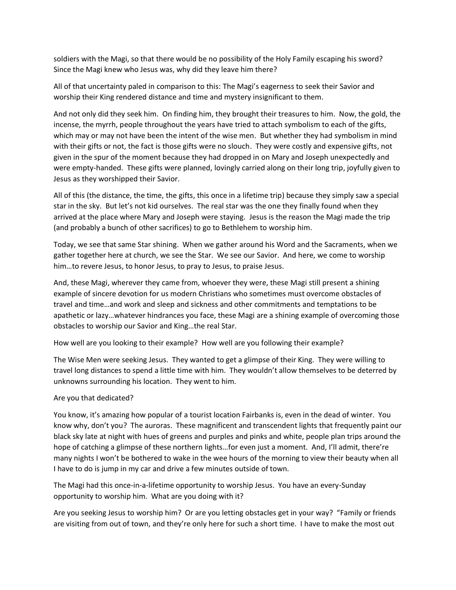soldiers with the Magi, so that there would be no possibility of the Holy Family escaping his sword? Since the Magi knew who Jesus was, why did they leave him there?

All of that uncertainty paled in comparison to this: The Magi's eagerness to seek their Savior and worship their King rendered distance and time and mystery insignificant to them.

And not only did they seek him. On finding him, they brought their treasures to him. Now, the gold, the incense, the myrrh, people throughout the years have tried to attach symbolism to each of the gifts, which may or may not have been the intent of the wise men. But whether they had symbolism in mind with their gifts or not, the fact is those gifts were no slouch. They were costly and expensive gifts, not given in the spur of the moment because they had dropped in on Mary and Joseph unexpectedly and were empty-handed. These gifts were planned, lovingly carried along on their long trip, joyfully given to Jesus as they worshipped their Savior.

All of this (the distance, the time, the gifts, this once in a lifetime trip) because they simply saw a special star in the sky. But let's not kid ourselves. The real star was the one they finally found when they arrived at the place where Mary and Joseph were staying. Jesus is the reason the Magi made the trip (and probably a bunch of other sacrifices) to go to Bethlehem to worship him.

Today, we see that same Star shining. When we gather around his Word and the Sacraments, when we gather together here at church, we see the Star. We see our Savior. And here, we come to worship him…to revere Jesus, to honor Jesus, to pray to Jesus, to praise Jesus.

And, these Magi, wherever they came from, whoever they were, these Magi still present a shining example of sincere devotion for us modern Christians who sometimes must overcome obstacles of travel and time…and work and sleep and sickness and other commitments and temptations to be apathetic or lazy…whatever hindrances you face, these Magi are a shining example of overcoming those obstacles to worship our Savior and King…the real Star.

How well are you looking to their example? How well are you following their example?

The Wise Men were seeking Jesus. They wanted to get a glimpse of their King. They were willing to travel long distances to spend a little time with him. They wouldn't allow themselves to be deterred by unknowns surrounding his location. They went to him.

## Are you that dedicated?

You know, it's amazing how popular of a tourist location Fairbanks is, even in the dead of winter. You know why, don't you? The auroras. These magnificent and transcendent lights that frequently paint our black sky late at night with hues of greens and purples and pinks and white, people plan trips around the hope of catching a glimpse of these northern lights...for even just a moment. And, I'll admit, there're many nights I won't be bothered to wake in the wee hours of the morning to view their beauty when all I have to do is jump in my car and drive a few minutes outside of town.

The Magi had this once-in-a-lifetime opportunity to worship Jesus. You have an every-Sunday opportunity to worship him. What are you doing with it?

Are you seeking Jesus to worship him? Or are you letting obstacles get in your way? "Family or friends are visiting from out of town, and they're only here for such a short time. I have to make the most out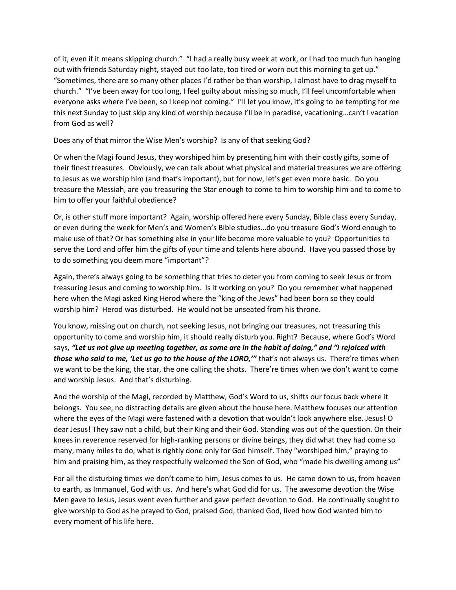of it, even if it means skipping church." "I had a really busy week at work, or I had too much fun hanging out with friends Saturday night, stayed out too late, too tired or worn out this morning to get up." "Sometimes, there are so many other places I'd rather be than worship, I almost have to drag myself to church." "I've been away for too long, I feel guilty about missing so much, I'll feel uncomfortable when everyone asks where I've been, so I keep not coming." I'll let you know, it's going to be tempting for me this next Sunday to just skip any kind of worship because I'll be in paradise, vacationing…can't I vacation from God as well?

Does any of that mirror the Wise Men's worship? Is any of that seeking God?

Or when the Magi found Jesus, they worshiped him by presenting him with their costly gifts, some of their finest treasures. Obviously, we can talk about what physical and material treasures we are offering to Jesus as we worship him (and that's important), but for now, let's get even more basic. Do you treasure the Messiah, are you treasuring the Star enough to come to him to worship him and to come to him to offer your faithful obedience?

Or, is other stuff more important? Again, worship offered here every Sunday, Bible class every Sunday, or even during the week for Men's and Women's Bible studies…do you treasure God's Word enough to make use of that? Or has something else in your life become more valuable to you? Opportunities to serve the Lord and offer him the gifts of your time and talents here abound. Have you passed those by to do something you deem more "important"?

Again, there's always going to be something that tries to deter you from coming to seek Jesus or from treasuring Jesus and coming to worship him. Is it working on you? Do you remember what happened here when the Magi asked King Herod where the "king of the Jews" had been born so they could worship him? Herod was disturbed. He would not be unseated from his throne.

You know, missing out on church, not seeking Jesus, not bringing our treasures, not treasuring this opportunity to come and worship him, it should really disturb you. Right? Because, where God's Word says*, "Let us not give up meeting together, as some are in the habit of doing," and "I rejoiced with those who said to me, 'Let us go to the house of the LORD,'"* that's not always us. There're times when we want to be the king, the star, the one calling the shots. There're times when we don't want to come and worship Jesus. And that's disturbing.

And the worship of the Magi, recorded by Matthew, God's Word to us, shifts our focus back where it belongs. You see, no distracting details are given about the house here. Matthew focuses our attention where the eyes of the Magi were fastened with a devotion that wouldn't look anywhere else. Jesus! O dear Jesus! They saw not a child, but their King and their God. Standing was out of the question. On their knees in reverence reserved for high-ranking persons or divine beings, they did what they had come so many, many miles to do, what is rightly done only for God himself. They "worshiped him," praying to him and praising him, as they respectfully welcomed the Son of God, who "made his dwelling among us"

For all the disturbing times we don't come to him, Jesus comes to us. He came down to us, from heaven to earth, as Immanuel, God with us. And here's what God did for us. The awesome devotion the Wise Men gave to Jesus, Jesus went even further and gave perfect devotion to God. He continually sought to give worship to God as he prayed to God, praised God, thanked God, lived how God wanted him to every moment of his life here.